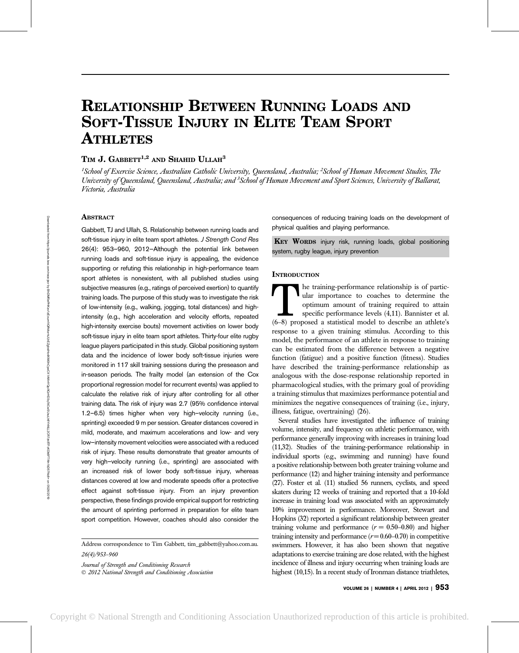# RELATIONSHIP BETWEEN RUNNING LOADS AND SOFT-TISSUE INJURY IN ELITE TEAM SPORT **ATHLETES**

## TIM J. GABBETT<sup>1,2</sup> AND SHAHID ULLAH<sup>3</sup>

<sup>1</sup>School of Exercise Science, Australian Catholic University, Queensland, Australia; <sup>2</sup>School of Human Movement Studies, The University of Queensland, Queensland, Australia; and <sup>3</sup>School of Human Movement and Sport Sciences, University of Ballarat, Victoria, Australia

## **ABSTRACT**

Gabbett, TJ and Ullah, S. Relationship between running loads and soft-tissue injury in elite team sport athletes. J Strength Cond Res 26(4): 953–960, 2012—Although the potential link between running loads and soft-tissue injury is appealing, the evidence supporting or refuting this relationship in high-performance team sport athletes is nonexistent, with all published studies using subjective measures (e.g., ratings of perceived exertion) to quantify training loads. The purpose of this study was to investigate the risk of low-intensity (e.g., walking, jogging, total distances) and highintensity (e.g., high acceleration and velocity efforts, repeated high-intensity exercise bouts) movement activities on lower body soft-tissue injury in elite team sport athletes. Thirty-four elite rugby league players participated in this study. Global positioning system data and the incidence of lower body soft-tissue injuries were monitored in 117 skill training sessions during the preseason and in-season periods. The frailty model (an extension of the Cox proportional regression model for recurrent events) was applied to calculate the relative risk of injury after controlling for all other training data. The risk of injury was 2.7 (95% confidence interval 1.2–6.5) times higher when very high–velocity running (i.e., sprinting) exceeded 9 m per session. Greater distances covered in mild, moderate, and maximum accelerations and low- and very low–intensity movement velocities were associated with a reduced risk of injury. These results demonstrate that greater amounts of very high–velocity running (i.e., sprinting) are associated with an increased risk of lower body soft-tissue injury, whereas distances covered at low and moderate speeds offer a protective effect against soft-tissue injury. From an injury prevention perspective, these findings provide empirical support for restricting the amount of sprinting performed in preparation for elite team sport competition. However, coaches should also consider the

Address correspondence to Tim Gabbett, tim\_gabbett@yahoo.com.au. 26(4)/953–960

Journal of Strength and Conditioning Research - 2012 National Strength and Conditioning Association consequences of reducing training loads on the development of physical qualities and playing performance.

KEY WORDS injury risk, running loads, global positioning system, rugby league, injury prevention

## **INTRODUCTION**

he training-performance relationship is of particular importance to coaches to determine the optimum amount of training required to attain specific performance levels (4,11). Bannister et al. (6–8) proposed a statistical model to describe an athlete's response to a given training stimulus. According to this model, the performance of an athlete in response to training can be estimated from the difference between a negative function (fatigue) and a positive function (fitness). Studies have described the training-performance relationship as analogous with the dose-response relationship reported in pharmacological studies, with the primary goal of providing a training stimulus that maximizes performance potential and minimizes the negative consequences of training (i.e., injury, illness, fatigue, overtraining) (26).

Several studies have investigated the influence of training volume, intensity, and frequency on athletic performance, with performance generally improving with increases in training load (11,32). Studies of the training-performance relationship in individual sports (e.g., swimming and running) have found a positive relationship between both greater training volume and performance (12) and higher training intensity and performance (27). Foster et al. (11) studied 56 runners, cyclists, and speed skaters during 12 weeks of training and reported that a 10-fold increase in training load was associated with an approximately 10% improvement in performance. Moreover, Stewart and Hopkins (32) reported a significant relationship between greater training volume and performance  $(r = 0.50 - 0.80)$  and higher training intensity and performance  $(r = 0.60 - 0.70)$  in competitive swimmers. However, it has also been shown that negative adaptations to exercise training are dose related, with the highest incidence of illness and injury occurring when training loads are highest (10,15). In a recent study of Ironman distance triathletes,

Downloaded from

https://journals.lww.com/nsca-jscr

হ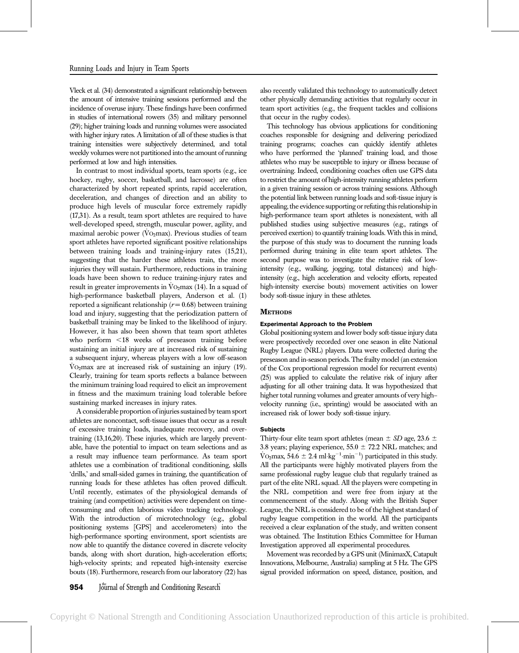Vleck et al. (34) demonstrated a significant relationship between the amount of intensive training sessions performed and the incidence of overuse injury. These findings have been confirmed in studies of international rowers (35) and military personnel (29); higher training loads and running volumes were associated with higher injury rates. A limitation of all of these studies is that training intensities were subjectively determined, and total weekly volumes were not partitioned into the amount of running performed at low and high intensities.

In contrast to most individual sports, team sports (e.g., ice hockey, rugby, soccer, basketball, and lacrosse) are often characterized by short repeated sprints, rapid acceleration, deceleration, and changes of direction and an ability to produce high levels of muscular force extremely rapidly (17,31). As a result, team sport athletes are required to have well-developed speed, strength, muscular power, agility, and maximal aerobic power ( $\text{Vo}_2$ max). Previous studies of team sport athletes have reported significant positive relationships between training loads and training-injury rates (15,21), suggesting that the harder these athletes train, the more injuries they will sustain. Furthermore, reductions in training loads have been shown to reduce training-injury rates and result in greater improvements in  $Vo_2$  max (14). In a squad of high-performance basketball players, Anderson et al. (1) reported a significant relationship  $(r=0.68)$  between training load and injury, suggesting that the periodization pattern of basketball training may be linked to the likelihood of injury. However, it has also been shown that team sport athletes who perform  $\leq 18$  weeks of preseason training before sustaining an initial injury are at increased risk of sustaining a subsequent injury, whereas players with a low off-season  $Vo_2$ max are at increased risk of sustaining an injury (19). Clearly, training for team sports reflects a balance between the minimum training load required to elicit an improvement in fitness and the maximum training load tolerable before sustaining marked increases in injury rates.

A considerable proportion of injuries sustained by team sport athletes are noncontact, soft-tissue issues that occur as a result of excessive training loads, inadequate recovery, and overtraining (13,16,20). These injuries, which are largely preventable, have the potential to impact on team selections and as a result may influence team performance. As team sport athletes use a combination of traditional conditioning, skills -drills, and small-sided games in training, the quantification of running loads for these athletes has often proved difficult. Until recently, estimates of the physiological demands of training (and competition) activities were dependent on timeconsuming and often laborious video tracking technology. With the introduction of microtechnology (e.g., global positioning systems [GPS] and accelerometers) into the high-performance sporting environment, sport scientists are now able to quantify the distance covered in discrete velocity bands, along with short duration, high-acceleration efforts; high-velocity sprints; and repeated high-intensity exercise bouts (18). Furthermore, research from our laboratory (22) has

also recently validated this technology to automatically detect other physically demanding activities that regularly occur in team sport activities (e.g., the frequent tackles and collisions that occur in the rugby codes).

This technology has obvious applications for conditioning coaches responsible for designing and delivering periodized training programs; coaches can quickly identify athletes who have performed the 'planned' training load, and those athletes who may be susceptible to injury or illness because of overtraining. Indeed, conditioning coaches often use GPS data to restrict the amount of high-intensity running athletes perform in a given training session or across training sessions. Although the potential link between running loads and soft-tissue injury is appealing, the evidence supporting or refuting this relationship in high-performance team sport athletes is nonexistent, with all published studies using subjective measures (e.g., ratings of perceived exertion) to quantify training loads. With this in mind, the purpose of this study was to document the running loads performed during training in elite team sport athletes. The second purpose was to investigate the relative risk of lowintensity (e.g., walking, jogging, total distances) and highintensity (e.g., high acceleration and velocity efforts, repeated high-intensity exercise bouts) movement activities on lower body soft-tissue injury in these athletes.

## **METHODS**

#### Experimental Approach to the Problem

Global positioning system and lower body soft-tissue injury data were prospectively recorded over one season in elite National Rugby League (NRL) players. Data were collected during the preseason and in-season periods. The frailty model (an extension of the Cox proportional regression model for recurrent events) (25) was applied to calculate the relative risk of injury after adjusting for all other training data. It was hypothesized that higher total running volumes and greater amounts of very high– velocity running (i.e., sprinting) would be associated with an increased risk of lower body soft-tissue injury.

## **Subjects**

Thirty-four elite team sport athletes (mean  $\pm$  SD age, 23.6  $\pm$ 3.8 years; playing experience,  $55.0 \pm 72.2$  NRL matches; and  $\text{Vo}_2$ max, 54.6  $\pm$  2.4 ml·kg<sup>-1</sup>·min<sup>-1</sup>) participated in this study. All the participants were highly motivated players from the same professional rugby league club that regularly trained as part of the elite NRL squad. All the players were competing in the NRL competition and were free from injury at the commencement of the study. Along with the British Super League, the NRL is considered to be of the highest standard of rugby league competition in the world. All the participants received a clear explanation of the study, and written consent was obtained. The Institution Ethics Committee for Human Investigation approved all experimental procedures.

Movement was recorded by a GPS unit (MinimaxX, Catapult Innovations, Melbourne, Australia) sampling at 5 Hz. The GPS signal provided information on speed, distance, position, and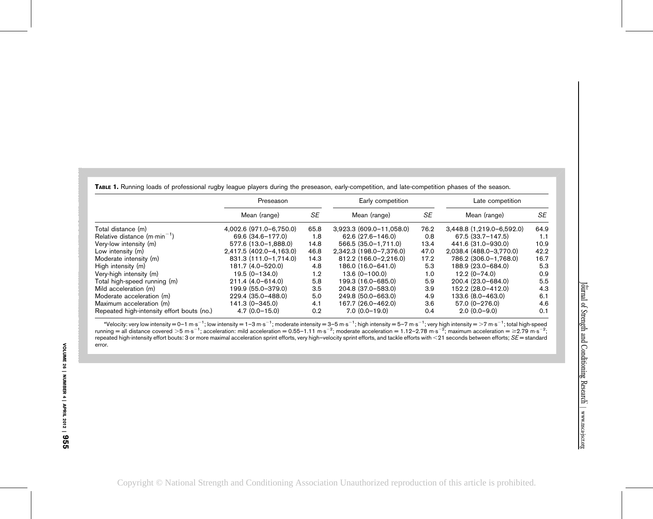| <b>TABLE 1.</b> Running loads of professional rugby league players during the preseason, early-competition, and late-competition phases of the season. |                         |      |                          |      |                           |      |  |  |
|--------------------------------------------------------------------------------------------------------------------------------------------------------|-------------------------|------|--------------------------|------|---------------------------|------|--|--|
|                                                                                                                                                        | Preseason               |      | Early competition        |      | Late competition          |      |  |  |
|                                                                                                                                                        | Mean (range)            | SE   | Mean (range)             | SE   | Mean (range)              | SE   |  |  |
| Total distance (m)                                                                                                                                     | 4,002.6 (971.0-6,750.0) | 65.8 | 3,923.3 (609.0-11,058.0) | 76.2 | 3,448.8 (1,219.0-6,592.0) | 64.9 |  |  |
| Relative distance $(m \cdot min^{-1})$                                                                                                                 | 69.6 (34.6-177.0)       | 1.8  | $62.6(27.6 - 146.0)$     | 0.8  | 67.5 (33.7-147.5)         | 1.1  |  |  |
| Very-low intensity (m)                                                                                                                                 | 577.6 (13.0-1.888.0)    | 14.8 | 566.5 (35.0-1.711.0)     | 13.4 | 441.6 (31.0-930.0)        | 10.9 |  |  |
| Low intensity (m)                                                                                                                                      | 2.417.5 (402.0-4.163.0) | 46.8 | 2.342.3 (198.0-7.376.0)  | 47.0 | 2.038.4 (488.0-3.770.0)   | 42.2 |  |  |
| Moderate intensity (m)                                                                                                                                 | 831.3 (111.0-1,714.0)   | 14.3 | 812.2 (166.0-2.216.0)    | 17.2 | 786.2 (306.0-1.768.0)     | 16.7 |  |  |
| High intensity (m)                                                                                                                                     | 181.7 (4.0–520.0)       | 4.8  | 186.0 (16.0-641.0)       | 5.3  | 188.9 (23.0-684.0)        | 5.3  |  |  |
| Very-high intensity (m)                                                                                                                                | 19.5 (0-134.0)          | 1.2  | $13.6(0-100.0)$          | 1.0  | $12.2(0 - 74.0)$          | 0.9  |  |  |
| Total high-speed running (m)                                                                                                                           | 211.4 (4.0-614.0)       | 5.8  | 199.3 (16.0-685.0)       | 5.9  | 200.4 (23.0-684.0)        | 5.5  |  |  |
| Mild acceleration (m)                                                                                                                                  | 199.9 (55.0–379.0)      | 3.5  | 204.8 (37.0-583.0)       | 3.9  | 152.2 (28.0-412.0)        | 4.3  |  |  |
| Moderate acceleration (m)                                                                                                                              | 229.4 (35.0-488.0)      | 5.0  | 249.8 (50.0-663.0)       | 4.9  | 133.6 (8.0-463.0)         | 6.1  |  |  |
| Maximum acceleration (m)                                                                                                                               | 141.3 (0-345.0)         | 4.1  | 167.7 (26.0-462.0)       | 3.6  | 57.0 (0-276.0)            | 4.6  |  |  |
| Repeated high-intensity effort bouts (no.)                                                                                                             | $4.7(0.0 - 15.0)$       | 0.2  | $7.0(0.0-19.0)$          | 0.4  | $2.0(0.0-9.0)$            | 0.1  |  |  |

\*Velocity: very low intensity = 0–1 m·s $^{-1}$ ; low intensity = 1–3 m·s $^{-1}$ ; moderate intensity = 3–5 m·s $^{-1}$ ; high intensity = 5–7 m·s $^{-1}$ ; very high intensity = >7 m·s $^{-1}$ ; total high-speed running = all distance covered >5 m·s<sup>-1</sup>; acceleration: mild acceleration = 0.55–1.11 m·s<sup>-2</sup>; moderate acceleration = 1.12–2.78 m·s<sup>-2</sup>; maximum acceleration = ≥2.79 m·s<sup>-2</sup>;<br>repeated high-intensity effort bouts: 3 or m error.

acceleration. The GPS unit also include triaxial acceleration. The GPS unit also included triaxial accelerometers

l G

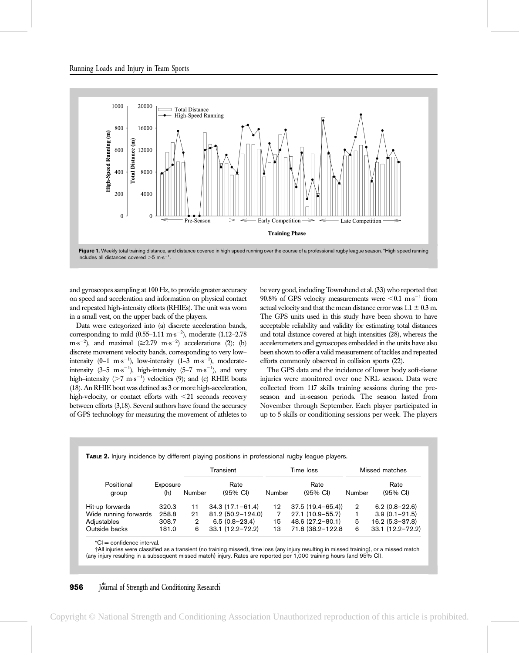

includes all distances covered  $>5$  m·s<sup>-1</sup>.

and gyroscopes sampling at 100 Hz, to provide greater accuracy on speed and acceleration and information on physical contact and repeated high-intensity efforts (RHIEs). The unit was worn in a small vest, on the upper back of the players.

Data were categorized into (a) discrete acceleration bands, corresponding to mild  $(0.55-1.11 \text{ m}\cdot\text{s}^{-2})$ , moderate  $(1.12-2.78$ m·s<sup>-2</sup>), and maximal ( $\geq$ 2.79 m·s<sup>-2</sup>) accelerations (2); (b) discrete movement velocity bands, corresponding to very low– intensity  $(0-1 \text{ m}\cdot\text{s}^{-1})$ , low-intensity  $(1-3 \text{ m}\cdot\text{s}^{-1})$ , moderateintensity  $(3-5 \text{ m}\cdot\text{s}^{-1})$ , high-intensity  $(5-7 \text{ m}\cdot\text{s}^{-1})$ , and very high-intensity  $(>7 \text{ m} \cdot \text{s}^{-1})$  velocities (9); and (c) RHIE bouts (18). An RHIE bout was defined as 3 or more high-acceleration, high-velocity, or contact efforts with  $\leq$ 21 seconds recovery between efforts (3,18). Several authors have found the accuracy of GPS technology for measuring the movement of athletes to be very good, including Townshend et al. (33) who reported that 90.8% of GPS velocity measurements were  $\leq 0.1 \text{ m}\cdot\text{s}^{-1}$  from actual velocity and that the mean distance error was  $1.1 \pm 0.3$  m. The GPS units used in this study have been shown to have acceptable reliability and validity for estimating total distances and total distance covered at high intensities (28), whereas the accelerometers and gyroscopes embedded in the units have also been shown to offer a valid measurement of tackles and repeated efforts commonly observed in collision sports (22).

The GPS data and the incidence of lower body soft-tissue injuries were monitored over one NRL season. Data were collected from 117 skills training sessions during the preseason and in-season periods. The season lasted from November through September. Each player participated in up to 5 skills or conditioning sessions per week. The players

|                       |                 |        | Transient            |        | Time loss                  |                | Missed matches             |  |
|-----------------------|-----------------|--------|----------------------|--------|----------------------------|----------------|----------------------------|--|
| Positional<br>group   | Exposure<br>(h) | Number | Rate<br>$(95% \nC)$  | Number | Rate<br>$(95% \text{ Cl})$ | Number         | Rate<br>$(95% \text{ Cl})$ |  |
| Hit-up forwards       | 320.3           | 11     | $34.3(17.1 - 61.4)$  | 12     | $37.5(19.4 - 65.4)$        | $\overline{2}$ | $6.2(0.8-22.6)$            |  |
| Wide running forwards | 258.8           | 21     | $81.2(50.2 - 124.0)$ | 7      | 27.1 (10.9-55.7)           |                | $3.9(0.1 - 21.5)$          |  |
| Adjustables           | 308.7           | 2      | $6.5(0.8-23.4)$      | 15     | 48.6 (27.2-80.1)           | 5              | $16.2(5.3 - 37.8)$         |  |
| Outside backs         | 181.0           | 6      | $33.1(12.2 - 72.2)$  | 13     | 71.8 (38.2-122.8           | 6              | $33.1(12.2 - 72.2)$        |  |

 $\epsilon$  2. Injury incidence by different playing positions in professional rugby league players

\*CI = confidence interval.

†All injuries were classified as a transient (no training missed), time loss (any injury resulting in missed training), or a missed match (any injury resulting in a subsequent missed match) injury. Rates are reported per 1,000 training hours (and 95% CI).

## **956** Journal of Strength and Conditioning Research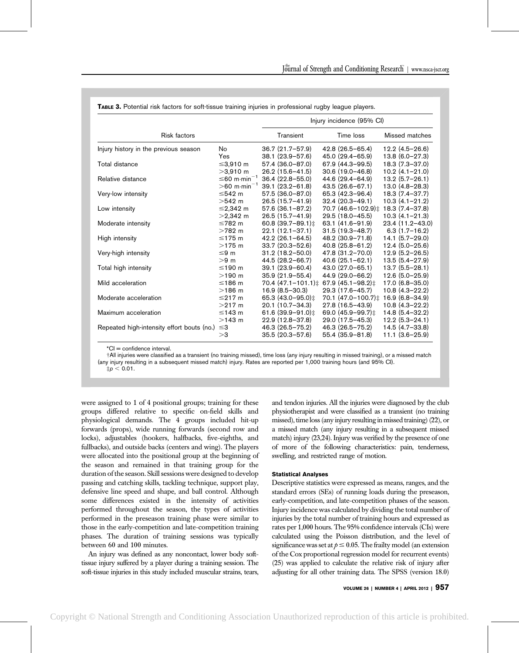|                                            |                                   | Injury incidence (95% CI)         |                         |                     |  |
|--------------------------------------------|-----------------------------------|-----------------------------------|-------------------------|---------------------|--|
| Risk factors                               | Transient                         | Time loss                         | Missed matches          |                     |  |
| Injury history in the previous season      | No                                | $36.7(21.7 - 57.9)$               | $42.8(26.5 - 65.4)$     | $12.2(4.5-26.6)$    |  |
|                                            | Yes                               | $38.1(23.9 - 57.6)$               | 45.0 (29.4–65.9)        | $13.8(6.0-27.3)$    |  |
| Total distance                             | ≤3,910 $m$                        | 57.4 (36.0-87.0)                  | 67.9 (44.3–99.5)        | $18.3(7.3 - 37.0)$  |  |
|                                            | $>3,910$ m                        | $26.2(15.6 - 41.5)$               | $30.6(19.0 - 46.8)$     | $10.2(4.1 - 21.0)$  |  |
| Relative distance                          | $≤ 60$ m·min <sup>-1</sup>        | 36.4 (22.8-55.0)                  | 44.6 (29.4–64.9)        | $13.2(5.7-26.1)$    |  |
|                                            | $>60$ m $\cdot$ min <sup>-1</sup> | $39.1(23.2 - 61.8)$               | $43.5(26.6 - 67.1)$     | $13.0(4.8-28.3)$    |  |
| Very-low intensity                         | $≤542$ m                          | 57.5 (36.0-87.0)                  | 65.3 (42.3–96.4)        | 18.3 (7.4–37.7)     |  |
|                                            | $>542$ m                          | $26.5(15.7 - 41.9)$               | $32.4(20.3 - 49.1)$     | $10.3(4.1 - 21.2)$  |  |
| Low intensity                              | $\leq$ 2,342 m                    | $57.6(36.1 - 87.2)$               | 70.7 (46.6-102.9) $\pm$ | 18.3 (7.4-37.8)     |  |
|                                            | $>2.342$ m                        | $26.5(15.7 - 41.9)$               | $29.5(18.0 - 45.5)$     | $10.3(4.1 - 21.3)$  |  |
| Moderate intensity                         | $≤782$ m                          | 60.8 $(39.7 - 89.1)$ ‡            | 63.1 (41.6-91.9)        | 23.4 (11.2-43.0)    |  |
|                                            | $>782$ m                          | $22.1(12.1-37.1)$                 | $31.5(19.3 - 48.7)$     | $6.3(1.7-16.2)$     |  |
| High intensity                             | $≤175$ m                          | $42.2(26.1 - 64.5)$               | 48.2 (30.9-71.8)        | $14.1 (5.7 - 29.0)$ |  |
|                                            | $>175$ m                          | $33.7(20.3 - 52.6)$               | $40.8(25.8 - 61.2)$     | $12.4(5.0-25.6)$    |  |
| Very-high intensity                        | $\leq$ 9 m                        | $31.2(18.2 - 50.0)$               | 47.8 (31.2-70.0)        | $12.9(5.2-26.5)$    |  |
|                                            | >9 m                              | 44.5 (28.2-66.7)                  | $40.6(25.1 - 62.1)$     | $13.5(5.4 - 27.9)$  |  |
| Total high intensity                       | $≤190$ m                          | $39.1(23.9 - 60.4)$               | 43.0 (27.0-65.1)        | $13.7(5.5-28.1)$    |  |
|                                            | $>190$ m                          | $35.9(21.9 - 55.4)$               | 44.9 (29.0-66.2)        | $12.6(5.0-25.9)$    |  |
| Mild acceleration                          | $≤186$ m                          | $70.4(47.1-101.1)$                | 67.9 $(45.1 - 98.2)$ :  | 17.0 (6.8–35.0)     |  |
|                                            | $>186$ m                          | $16.9(8.5 - 30.3)$                | 29.3 (17.6-45.7)        | $10.8(4.3-22.2)$    |  |
| Moderate acceleration                      | $\leq$ 217 m                      | 65.3 $(43.0 - 95.0)$ :            | $70.1(47.0-100.7)$      | $16.9(6.8 - 34.9)$  |  |
|                                            | $>217$ m                          | $20.1(10.7 - 34.3)$               | 27.8 (16.5-43.9)        | $10.8(4.3-22.2)$    |  |
| Maximum acceleration                       | $≤143$ m                          | 61.6 $(39.9 - 91.0)$ <sup>±</sup> | 69.0 (45.9-99.7) ±      | $14.8(5.4 - 32.2)$  |  |
|                                            | $>143$ m                          | 22.9 (12.8-37.8)                  | $29.0(17.5 - 45.3)$     | $12.2(5.3-24.1)$    |  |
| Repeated high-intensity effort bouts (no.) | ≤3                                | 46.3 (26.5-75.2)                  | 46.3 (26.5-75.2)        | 14.5 (4.7-33.8)     |  |
|                                            | >3                                | $35.5(20.3 - 57.6)$               | 55.4 (35.9–81.8)        | $11.1 (3.6 - 25.9)$ |  |

TABLE 3. Potential risk factors for soft-tissue training injuries in professional rugby league players.

\*CI = confidence interval.

†All injuries were classified as a transient (no training missed), time loss (any injury resulting in missed training), or a missed match (any injury resulting in a subsequent missed match) injury. Rates are reported per 1,000 training hours (and 95% CI).

 $\sharp p < 0.01$ .

were assigned to 1 of 4 positional groups; training for these groups differed relative to specific on-field skills and physiological demands. The 4 groups included hit-up forwards (props), wide running forwards (second row and locks), adjustables (hookers, halfbacks, five-eighths, and fullbacks), and outside backs (centers and wing). The players were allocated into the positional group at the beginning of the season and remained in that training group for the duration of the season. Skill sessions were designed to develop passing and catching skills, tackling technique, support play, defensive line speed and shape, and ball control. Although some differences existed in the intensity of activities performed throughout the season, the types of activities performed in the preseason training phase were similar to those in the early-competition and late-competition training phases. The duration of training sessions was typically between 60 and 100 minutes.

An injury was defined as any noncontact, lower body softtissue injury suffered by a player during a training session. The soft-tissue injuries in this study included muscular strains, tears,

and tendon injuries. All the injuries were diagnosed by the club physiotherapist and were classified as a transient (no training missed), time loss (any injury resulting in missed training) (22), or a missed match (any injury resulting in a subsequent missed match) injury (23,24). Injury was verified by the presence of one of more of the following characteristics: pain, tenderness, swelling, and restricted range of motion.

## Statistical Analyses

Descriptive statistics were expressed as means, ranges, and the standard errors (SEs) of running loads during the preseason, early-competition, and late-competition phases of the season. Injury incidence was calculated by dividing the total number of injuries by the total number of training hours and expressed as rates per 1,000 hours. The 95% confidence intervals (CIs) were calculated using the Poisson distribution, and the level of significance was set at  $p \le 0.05$ . The frailty model (an extension of the Cox proportional regression model for recurrent events) (25) was applied to calculate the relative risk of injury after adjusting for all other training data. The SPSS (version 18.0)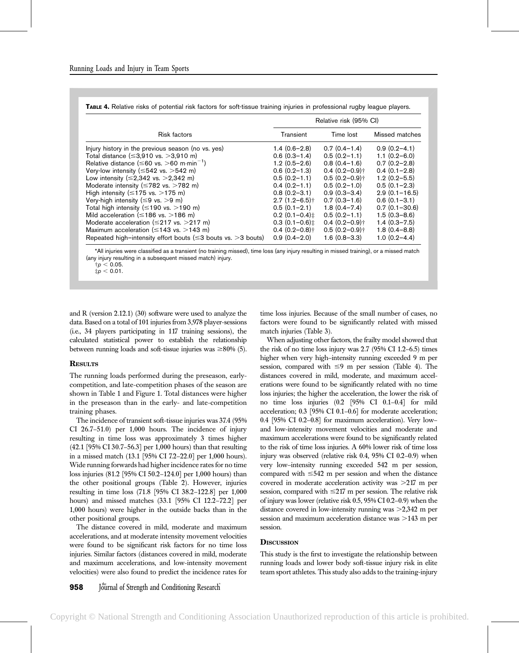|                                                                     | Relative risk (95% CI)      |                               |                   |  |
|---------------------------------------------------------------------|-----------------------------|-------------------------------|-------------------|--|
| <b>Risk factors</b>                                                 | Transient                   | Time lost                     | Missed matches    |  |
| Injury history in the previous season (no vs. yes)                  | $1.4(0.6-2.8)$              | $0.7(0.4-1.4)$                | $0.9(0.2 - 4.1)$  |  |
| Total distance $(\leq 3,910 \text{ vs. } >3,910 \text{ m})$         | $0.6(0.3-1.4)$              | $0.5(0.2 - 1.1)$              | $1.1(0.2 - 6.0)$  |  |
| Relative distance ( $\leq 60$ vs. $> 60$ m·min <sup>-1</sup> )      | $1.2(0.5-2.6)$              | $0.8(0.4-1.6)$                | $0.7(0.2 - 2.8)$  |  |
| Very-low intensity ( $\leq$ 542 vs. > 542 m)                        | $0.6(0.2 - 1.3)$            | $0.4(0.2 - 0.9)$ <sup>+</sup> | $0.4(0.1-2.8)$    |  |
| Low intensity ( $\leq$ 2,342 vs. $>$ 2,342 m)                       | $0.5(0.2 - 1.1)$            | $0.5(0.2 - 0.9)$ <sup>+</sup> | $1.2(0.2 - 5.5)$  |  |
| Moderate intensity ( $\leq$ 782 vs. >782 m)                         | $0.4(0.2 - 1.1)$            | $0.5(0.2 - 1.0)$              | $0.5(0.1 - 2.3)$  |  |
| High intensity ( $\leq$ 175 vs. >175 m)                             | $0.8(0.2 - 3.1)$            | $0.9(0.3 - 3.4)$              | $2.9(0.1 - 16.5)$ |  |
| Very-high intensity ( $\leq$ 9 vs. >9 m)                            | $2.7(1.2-6.5)$ <sup>+</sup> | $0.7(0.3-1.6)$                | $0.6(0.1 - 3.1)$  |  |
| Total high intensity ( $\leq$ 190 vs. $>$ 190 m)                    | $0.5(0.1-2.1)$              | $1.8(0.4 - 7.4)$              | $0.7(0.1 - 30.6)$ |  |
| Mild acceleration ( $\leq$ 186 vs. >186 m)                          | $0.2(0.1-0.4)$              | $0.5(0.2 - 1.1)$              | $1.5(0.3 - 8.6)$  |  |
| Moderate acceleration ( $\leq$ 217 vs. > 217 m)                     | $0.3(0.1-0.6)$              | $0.4(0.2-0.9)$ <sup>+</sup>   | $1.4(0.3 - 7.5)$  |  |
| Maximum acceleration ( $\leq$ 143 vs. >143 m)                       | $0.4(0.2-0.8)$ <sup>+</sup> | $0.5(0.2 - 0.9)$ <sup>+</sup> | $1.8(0.4 - 8.8)$  |  |
| Repeated high-intensity effort bouts $(\leq 3$ bouts vs. > 3 bouts) | $0.9(0.4-2.0)$              | $1.6(0.8-3.3)$                | $1.0(0.2 - 4.4)$  |  |

TABLE 4. Relative risks of potential risk factors for soft-tissue training injuries in professional rugby league players.

\*All injuries were classified as a transient (no training missed), time loss (any injury resulting in missed training), or a missed match (any injury resulting in a subsequent missed match) injury.

 $\dagger p < 0.05$ .  $\sharp p < 0.01$ .

and R (version 2.12.1) (30) software were used to analyze the data. Based on a total of 101 injuries from 3,978 player-sessions (i.e., 34 players participating in 117 training sessions), the calculated statistical power to establish the relationship between running loads and soft-tissue injuries was  $\geq 80\%$  (5).

## **RESULTS**

The running loads performed during the preseason, earlycompetition, and late-competition phases of the season are shown in Table 1 and Figure 1. Total distances were higher in the preseason than in the early- and late-competition training phases.

The incidence of transient soft-tissue injuries was 37.4 (95% CI 26.7–51.0) per 1,000 hours. The incidence of injury resulting in time loss was approximately 3 times higher (42.1 [95% CI 30.7–56.3] per 1,000 hours) than that resulting in a missed match (13.1 [95% CI 7.2–22.0] per 1,000 hours). Wide running forwards had higher incidence rates for no time loss injuries (81.2 [95% CI 50.2–124.0] per 1,000 hours) than the other positional groups (Table 2). However, injuries resulting in time loss (71.8 [95% CI 38.2–122.8] per 1,000 hours) and missed matches (33.1 [95% CI 12.2–72.2] per 1,000 hours) were higher in the outside backs than in the other positional groups.

The distance covered in mild, moderate and maximum accelerations, and at moderate intensity movement velocities were found to be significant risk factors for no time loss injuries. Similar factors (distances covered in mild, moderate and maximum accelerations, and low-intensity movement velocities) were also found to predict the incidence rates for time loss injuries. Because of the small number of cases, no factors were found to be significantly related with missed match injuries (Table 3).

When adjusting other factors, the frailty model showed that the risk of no time loss injury was 2.7 (95% CI 1.2–6.5) times higher when very high–intensity running exceeded 9 m per session, compared with  $\leq$ 9 m per session (Table 4). The distances covered in mild, moderate, and maximum accelerations were found to be significantly related with no time loss injuries; the higher the acceleration, the lower the risk of no time loss injuries (0.2 [95% CI 0.1–0.4] for mild acceleration; 0.3 [95% CI 0.1–0.6] for moderate acceleration; 0.4 [95% CI 0.2–0.8] for maximum acceleration). Very low– and low-intensity movement velocities and moderate and maximum accelerations were found to be significantly related to the risk of time loss injuries. A 60% lower risk of time loss injury was observed (relative risk 0.4, 95% CI 0.2–0.9) when very low–intensity running exceeded 542 m per session, compared with  $\leq 542$  m per session and when the distance covered in moderate acceleration activity was  $>217$  m per session, compared with  $\leq$ 217 m per session. The relative risk of injury was lower (relative risk 0.5, 95% CI 0.2–0.9) when the distance covered in low-intensity running was  $\geq 2,342$  m per session and maximum acceleration distance was  $>143$  m per session.

## **DISCUSSION**

This study is the first to investigate the relationship between running loads and lower body soft-tissue injury risk in elite team sport athletes. This study also adds to the training-injury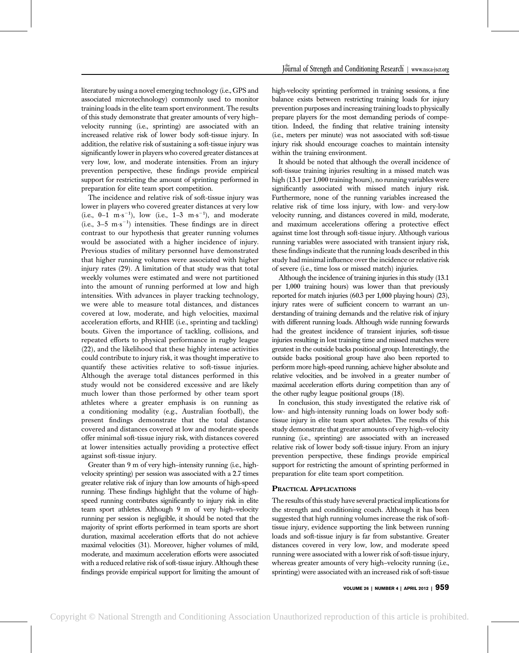literature by using a novel emerging technology (i.e., GPS and associated microtechnology) commonly used to monitor training loads in the elite team sport environment. The results of this study demonstrate that greater amounts of very high– velocity running (i.e., sprinting) are associated with an increased relative risk of lower body soft-tissue injury. In addition, the relative risk of sustaining a soft-tissue injury was significantly lower in players who covered greater distances at very low, low, and moderate intensities. From an injury prevention perspective, these findings provide empirical support for restricting the amount of sprinting performed in preparation for elite team sport competition.

The incidence and relative risk of soft-tissue injury was lower in players who covered greater distances at very low (i.e.,  $0-1 \text{ m·s}^{-1}$ ), low (i.e.,  $1-3 \text{ m·s}^{-1}$ ), and moderate (i.e.,  $3-5 \text{ m}\cdot\text{s}^{-1}$ ) intensities. These findings are in direct contrast to our hypothesis that greater running volumes would be associated with a higher incidence of injury. Previous studies of military personnel have demonstrated that higher running volumes were associated with higher injury rates (29). A limitation of that study was that total weekly volumes were estimated and were not partitioned into the amount of running performed at low and high intensities. With advances in player tracking technology, we were able to measure total distances, and distances covered at low, moderate, and high velocities, maximal acceleration efforts, and RHIE (i.e., sprinting and tackling) bouts. Given the importance of tackling, collisions, and repeated efforts to physical performance in rugby league (22), and the likelihood that these highly intense activities could contribute to injury risk, it was thought imperative to quantify these activities relative to soft-tissue injuries. Although the average total distances performed in this study would not be considered excessive and are likely much lower than those performed by other team sport athletes where a greater emphasis is on running as a conditioning modality (e.g., Australian football), the present findings demonstrate that the total distance covered and distances covered at low and moderate speeds offer minimal soft-tissue injury risk, with distances covered at lower intensities actually providing a protective effect against soft-tissue injury.

Greater than 9 m of very high–intensity running (i.e., highvelocity sprinting) per session was associated with a 2.7 times greater relative risk of injury than low amounts of high-speed running. These findings highlight that the volume of highspeed running contributes significantly to injury risk in elite team sport athletes. Although 9 m of very high–velocity running per session is negligible, it should be noted that the majority of sprint efforts performed in team sports are short duration, maximal acceleration efforts that do not achieve maximal velocities (31). Moreover, higher volumes of mild, moderate, and maximum acceleration efforts were associated with a reduced relative risk of soft-tissue injury. Although these findings provide empirical support for limiting the amount of high-velocity sprinting performed in training sessions, a fine balance exists between restricting training loads for injury prevention purposes and increasing training loads to physically prepare players for the most demanding periods of competition. Indeed, the finding that relative training intensity (i.e., meters per minute) was not associated with soft-tissue injury risk should encourage coaches to maintain intensity within the training environment.

It should be noted that although the overall incidence of soft-tissue training injuries resulting in a missed match was high (13.1 per 1,000 training hours), no running variables were significantly associated with missed match injury risk. Furthermore, none of the running variables increased the relative risk of time loss injury, with low- and very-low velocity running, and distances covered in mild, moderate, and maximum accelerations offering a protective effect against time lost through soft-tissue injury. Although various running variables were associated with transient injury risk, these findings indicate that the running loads described in this study had minimal influence over the incidence or relative risk of severe (i.e., time loss or missed match) injuries.

Although the incidence of training injuries in this study (13.1 per 1,000 training hours) was lower than that previously reported for match injuries (60.3 per 1,000 playing hours) (23), injury rates were of sufficient concern to warrant an understanding of training demands and the relative risk of injury with different running loads. Although wide running forwards had the greatest incidence of transient injuries, soft-tissue injuries resulting in lost training time and missed matches were greatest in the outside backs positional group. Interestingly, the outside backs positional group have also been reported to perform more high-speed running, achieve higher absolute and relative velocities, and be involved in a greater number of maximal acceleration efforts during competition than any of the other rugby league positional groups (18).

In conclusion, this study investigated the relative risk of low- and high-intensity running loads on lower body softtissue injury in elite team sport athletes. The results of this study demonstrate that greater amounts of very high–velocity running (i.e., sprinting) are associated with an increased relative risk of lower body soft-tissue injury. From an injury prevention perspective, these findings provide empirical support for restricting the amount of sprinting performed in preparation for elite team sport competition.

## PRACTICAL APPLICATIONS

The results of this study have several practical implications for the strength and conditioning coach. Although it has been suggested that high running volumes increase the risk of softtissue injury, evidence supporting the link between running loads and soft-tissue injury is far from substantive. Greater distances covered in very low, low, and moderate speed running were associated with a lower risk of soft-tissue injury, whereas greater amounts of very high–velocity running (i.e., sprinting) were associated with an increased risk of soft-tissue